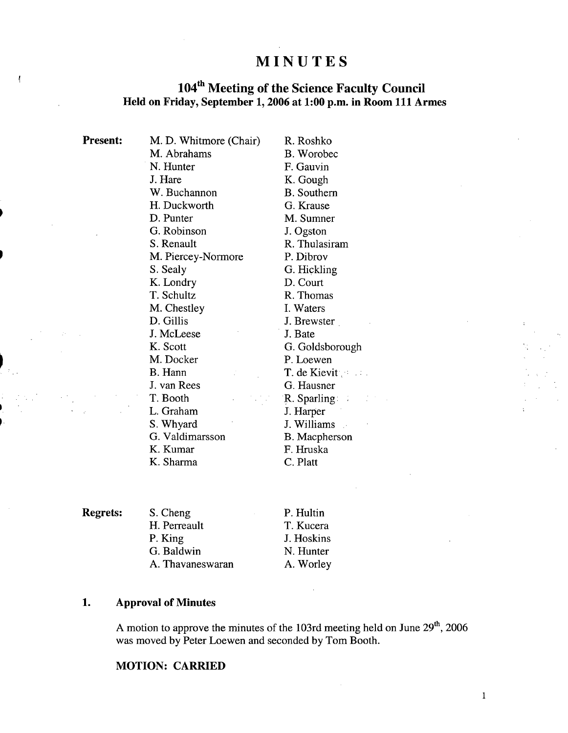# **MINUTES**

## **1041h Meeting of the Science Faculty Council Held on Friday, September 1, 2006 at 1:00 p.m. in Room 111 Armes**

| <b>Present:</b> | M. D. Whitmore (Chair) | R. Roshko          |
|-----------------|------------------------|--------------------|
|                 | M. Abrahams            | B. Worobec         |
|                 | N. Hunter              | F. Gauvin          |
|                 | J. Hare                | K. Gough           |
|                 | W. Buchannon           | <b>B.</b> Southern |
|                 | H. Duckworth           | G. Krause          |
|                 | D. Punter              | M. Sumner          |
|                 | G. Robinson            | J. Ogston          |
|                 | S. Renault             | R. Thulasiram      |
|                 | M. Piercey-Normore     | P. Dibrov          |
|                 | S. Sealy               | G. Hickling        |
|                 | K. Londry              | D. Court           |
|                 | T. Schultz             | R. Thomas          |
|                 | M. Chestley            | I. Waters          |
|                 | D. Gillis              | J. Brewster        |
|                 | J. McLeese             | J. Bate            |
|                 | K. Scott               | G. Goldsborough    |
|                 | M. Docker              | P. Loewen          |
|                 | B. Hann                | T. de Kievit       |
|                 | J. van Rees            | G. Hausner         |
|                 | T. Booth               | $R.$ Sparling:     |
|                 | L. Graham              | J. Harper          |
|                 | S. Whyard              | J. Williams        |
|                 | G. Valdimarsson        | B. Macpherson      |
|                 | K. Kumar               | F. Hruska          |
|                 | K. Sharma              | C. Platt           |

**Regrets:** S. Cheng

 $\begin{array}{c} \hline \end{array}$ 

| S. Cheng         |  |
|------------------|--|
| H. Perreault     |  |
| P. King          |  |
| G. Baldwin       |  |
| A. Thavaneswaran |  |

P. Hultin T. Kucera J. Hoskins N. Hunter A. Worley

## **1. Approval of Minutes**

A motion to approve the minutes of the 103rd meeting held on June  $29<sup>th</sup>$ , 2006 was moved by Peter Loewen and seconded by Tom Booth.

## **MOTION: CARRIED**

1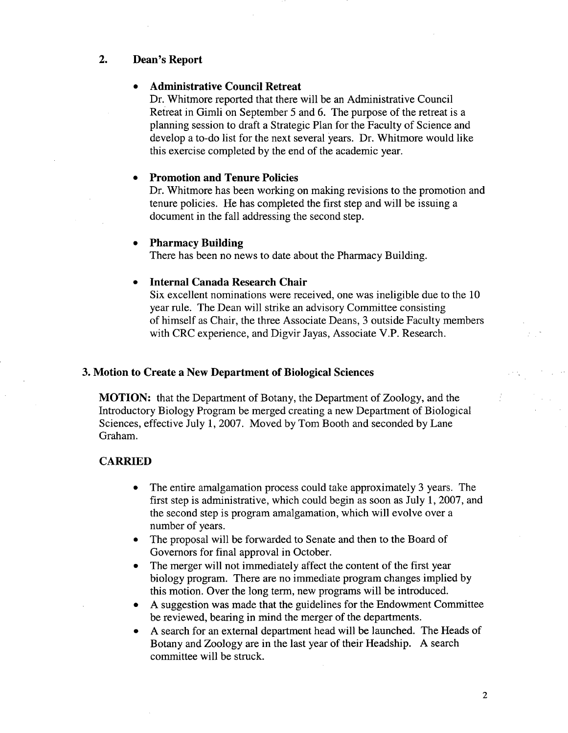#### 2. **Dean's Report**

### . **Administrative Council Retreat**

Dr. Whitmore reported that there will be an Administrative Council Retreat in Gimli on September 5 and 6. The purpose of the retreat is a planning session to draft a Strategic Plan for the Faculty of Science and develop a to-do list for the next several years. Dr. Whitmore would like this exercise completed by the end of the academic year.

#### **Promotion and Tenure Policies**

Dr. Whitmore has been working on making revisions to the promotion and tenure policies. He has completed the first step and will be issuing a document in the fall addressing the second step.

#### **Pharmacy Building**

There has been no news to date about the Pharmacy Building.

#### **Internal Canada Research Chair**

Six excellent nominations were received, one was ineligible due to the 10 year rule. The Dean will strike an advisory Committee consisting of himself as Chair, the three Associate Deans, 3 outside Faculty members with CRC experience, and Digvir Jayas, Associate V.P. Research.

#### **3. Motion to Create a New Department of Biological Sciences**

**MOTION:** that the Department of Botany, the Department of Zoology, and the Introductory Biology Program be merged creating a new Department of Biological Sciences, effective July 1, 2007. Moved by Tom Booth and seconded by Lane Graham.

#### **CARRIED**

- The entire amalgamation process could take approximately 3 years. The  $\bullet$ first step is administrative, which could begin as soon as July 1, 2007, and the second step is program amalgamation, which will evolve over a number of years.
- The proposal will be forwarded to Senate and then to the Board of  $\bullet$ Governors for final approval in October.
- The merger will not immediately affect the content of the first year  $\bullet$ biology program. There are no immediate program changes implied by this motion. Over the long term, new programs will be introduced.
- A suggestion was made that the guidelines for the Endowment Committee  $\bullet$ be reviewed, bearing in mind the merger of the departments.
- A search for an external department head will be launched. The Heads of Botany and Zoology are in the last year of their Headship. A search committee will be struck.